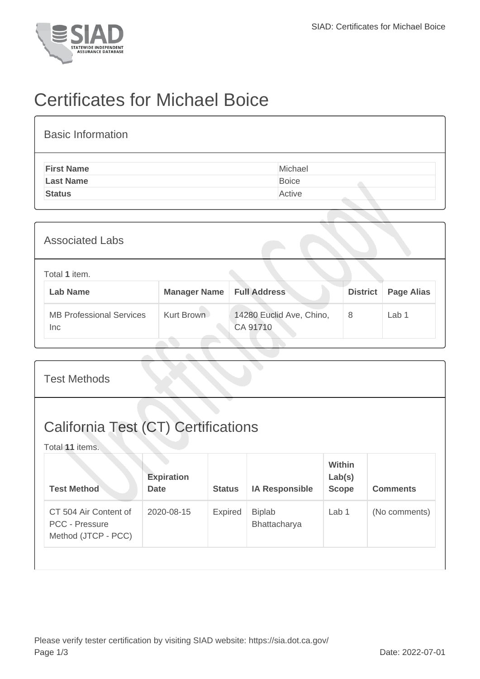

## Certificates for Michael Boice

| <b>Basic Information</b> |              |
|--------------------------|--------------|
| <b>First Name</b>        | Michael      |
| <b>Last Name</b>         | <b>Boice</b> |
| <b>Status</b>            | Active       |

| <b>Associated Labs</b>                 |                     |                                      |                 |                   |  |  |
|----------------------------------------|---------------------|--------------------------------------|-----------------|-------------------|--|--|
| Total 1 item.<br><b>Lab Name</b>       | <b>Manager Name</b> | <b>Full Address</b>                  | <b>District</b> | <b>Page Alias</b> |  |  |
| <b>MB Professional Services</b><br>Inc | Kurt Brown          | 14280 Euclid Ave, Chino,<br>CA 91710 | 8               | Lab 1             |  |  |

| <b>Test Methods</b>                                           |                                  |               |                               |                                  |                 |  |
|---------------------------------------------------------------|----------------------------------|---------------|-------------------------------|----------------------------------|-----------------|--|
| <b>California Test (CT) Certifications</b><br>Total 11 items. |                                  |               |                               |                                  |                 |  |
| <b>Test Method</b>                                            | <b>Expiration</b><br><b>Date</b> | <b>Status</b> | <b>IA Responsible</b>         | Within<br>Lab(s)<br><b>Scope</b> | <b>Comments</b> |  |
| CT 504 Air Content of<br><b>PCC - Pressure</b>                | 2020-08-15                       | Expired       | <b>Biplab</b><br>Bhattacharya | Lab 1                            | (No comments)   |  |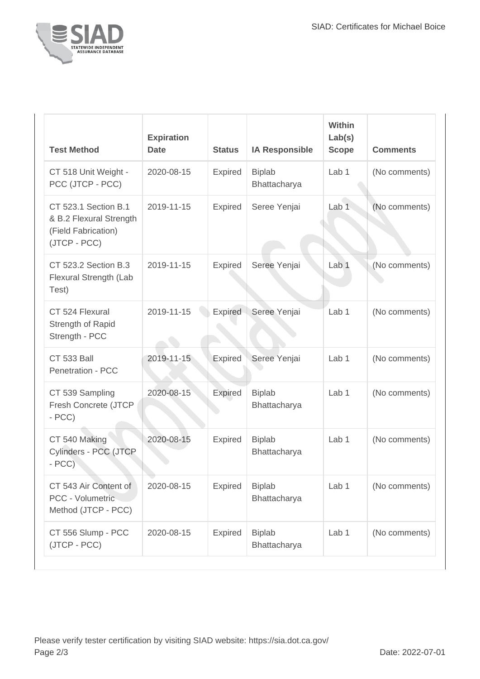

| <b>Test Method</b>                                                                            | <b>Expiration</b><br><b>Date</b> | <b>Status</b>  | <b>IA Responsible</b>         | <b>Within</b><br>Lab(s)<br><b>Scope</b> | <b>Comments</b> |
|-----------------------------------------------------------------------------------------------|----------------------------------|----------------|-------------------------------|-----------------------------------------|-----------------|
| CT 518 Unit Weight -<br>PCC (JTCP - PCC)                                                      | 2020-08-15                       | <b>Expired</b> | <b>Biplab</b><br>Bhattacharya | Lab <sub>1</sub>                        | (No comments)   |
| <b>CT 523.1 Section B.1</b><br>& B.2 Flexural Strength<br>(Field Fabrication)<br>(JTCP - PCC) | 2019-11-15                       | Expired        | Seree Yenjai                  | Lab <sub>1</sub>                        | (No comments)   |
| CT 523.2 Section B.3<br>Flexural Strength (Lab<br>Test)                                       | 2019-11-15                       | Expired        | Seree Yenjai                  | Lab <sub>1</sub>                        | (No comments)   |
| CT 524 Flexural<br>Strength of Rapid<br>Strength - PCC                                        | 2019-11-15                       | <b>Expired</b> | Seree Yenjai                  | Lab <sub>1</sub>                        | (No comments)   |
| <b>CT 533 Ball</b><br><b>Penetration - PCC</b>                                                | 2019-11-15                       | Expired        | Seree Yenjai                  | Lab 1                                   | (No comments)   |
| CT 539 Sampling<br>Fresh Concrete (JTCP<br>$- PCC$                                            | 2020-08-15                       | Expired        | <b>Biplab</b><br>Bhattacharya | Lab 1                                   | (No comments)   |
| CT 540 Making<br>Cylinders - PCC (JTCP<br>$- PCC$                                             | 2020-08-15                       | <b>Expired</b> | <b>Biplab</b><br>Bhattacharya | Lab <sub>1</sub>                        | (No comments)   |
| CT 543 Air Content of<br>PCC - Volumetric<br>Method (JTCP - PCC)                              | 2020-08-15                       | <b>Expired</b> | <b>Biplab</b><br>Bhattacharya | Lab 1                                   | (No comments)   |
| CT 556 Slump - PCC<br>(JTCP - PCC)                                                            | 2020-08-15                       | <b>Expired</b> | <b>Biplab</b><br>Bhattacharya | Lab 1                                   | (No comments)   |